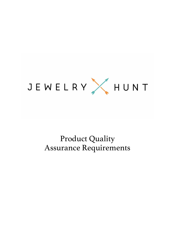

# Product Quality Assurance Requirements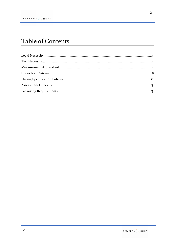## Table of Contents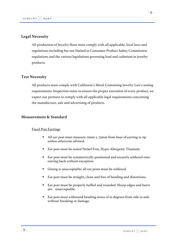## **Legal Necessity**

All production of Jewelry Hunt must comply with all applicable, local laws and regulations including but not limited to Consumer Product Safety Commission regulations and the various legislations governing lead and cadmium in jewelry products.

#### **Test Necessity**

All products must comply with California's Metal-Containing Jewelry Law's testing requirements. Inspection exists to ensure the proper execution of every product, we expect our partners to comply with all applicable legal requirements concerning the manufacture, sale and advertising of products.

#### **Measurement & Standard**

#### Fixed Post Earrings

- All ear post must measure 11mm x .75mm from base of earring to tip unless otherwise advised.
- Ear post must be tested Nickel Free, Hypo-Allergenic Titanium
- Ear post must be symmetrically positioned and securely soldered onto earring back without exception.
- Gluing is unacceptable; all ear posts must be soldered.
- Ear post must be straight, clean and free of bending and distortions.
- Ear post must be properly buffed and rounded. Sharp edges and burrs are unacceptable.
- Ear post must withstand bending stress of 10 degrees from side to side without breaking or damage.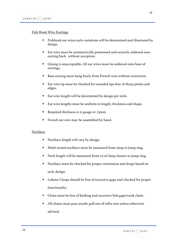#### Fish Hook Wire Earrings

- Fishhook ear wires style variations will be determined and illustrated by design.
- Ear wire must be symmetrically positioned and securely soldered onto earring back without exception.
- § Gluing is unacceptable. All ear wires must be soldered onto base of earrings.
- Base earring must hang freely from French wire without restriction.
- Ear wire tip must be checked for rounded tips free of sharp points and edges.
- Ear wire length will be determined by design per style.
- Ear wire lengths must be uniform in length, thickness and shape.
- Required thickness is 21 gauge or .75mm
- French ear wire may be assembled by hand.

#### Necklace

- Necklace length will vary by design.
- Multi-strand necklace must be measured from clasp to jump ring.
- Neck length will be measured from 1/3 of clasp closure to jump ring.
- Necklace must be checked for proper orientation and drape based on tech. design.
- Lobster Clasps should be free of excessive gaps and checked for proper functionality.
- § Chain must be free of kinking and excessive link gaps/weak chain.
- § All chains must pass tensile pull test of 10lbs min unless otherwise advised.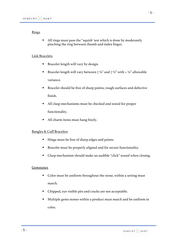#### Rings

■ All rings must pass the "squish' test which is done by moderately pinching the ring between thumb and index finger.

#### Link Bracelets

- Bracelet length will vary by design.
- Bracelet length will vary between  $7\frac{1}{4}$  and  $7\frac{1}{2}$  with  $+ \frac{1}{4}$  allowable variance.
- § Bracelet should be free of sharp points, rough surfaces and defective finish.
- All clasp mechanisms must be checked and tested for proper functionality.
- All charm items must hang freely.

#### Bangles & Cuff Bracelets

- Hinge must be free of sharp edges and points.
- Bracelet must be properly aligned and for secure functionality.
- Clasp mechanism should make an audible "click" sound when closing.

#### Gemstones

- Color must be uniform throughout the stone, within a setting must match.
- § Chipped, eye visible pits and cracks are not acceptable.
- § Multiple gems stones within a product must match and be uniform in color.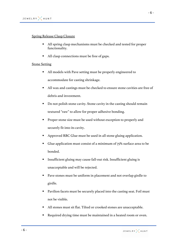#### Spring Release Clasp Closure

- All spring clasp mechanisms must be checked and tested for proper functionality.
- All clasp connections must be free of gaps.

#### Stone Setting

- § All models with Pave setting must be properly engineered to accommodate for casting shrinkage.
- All wax and castings must be checked to ensure stone cavities are free of debris and investment.
- Do not polish stone cavity. Stone cavity in the casting should remain textured "raw" to allow for proper adhesive bonding.
- § Proper stone size must be used without exception to properly and securely fit into its cavity.
- § Approved RBC Glue must be used in all stone gluing application.
- Glue application must consist of a minimum of 75% surface area to be bonded.
- § Insufficient gluing may cause fall-out risk. Insufficient gluing is unacceptable and will be rejected.
- Pave stones must be uniform in placement and not overlap girdle to girdle.
- Pavilion facets must be securely placed into the casting seat. Foil must not be visible.
- § All stones must sit flat. Tilted or crooked stones are unacceptable.
- Required drying time must be maintained in a heated room or oven.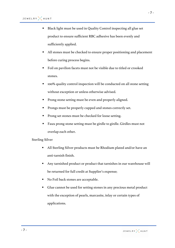- Black light must be used in Quality Control inspecting all glue set product to ensure sufficient RBC adhesive has been evenly and sufficiently applied.
- All stones must be checked to ensure proper positioning and placement before curing process begins.
- Foil on pavilion facets must not be visible due to titled or crooked stones.
- § 100% quality control inspection will be conducted on all stone setting without exception or unless otherwise advised.
- Prong stone setting must be even and properly aligned.
- Prongs must be properly cupped and stones correctly set.
- § Prong set stones must be checked for loose setting.
- Faux prong stone setting must be girdle to girdle. Girdles must not overlap each other.

#### Sterling Silver

- § All Sterling Silver products must be Rhodium plated and/or have an anti-tarnish finish.
- Any tarnished product or product that tarnishes in our warehouse will be returned for full credit at Supplier's expense;
- No Foil back stones are acceptable.
- Glue cannot be used for setting stones in any precious metal product with the exception of pearls, marcasite, inlay or certain types of applications.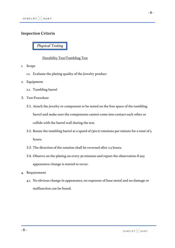## **Inspection Criteria**

*Physical Testing*

## Durability Test/Tumbling Test

- 1. Scope
	- 1.1. Evaluate the plating quality of the Jewelry product
- 2. Equipment
	- 2.1. Tumbling barrel
- 3. Test Procedure
	- 3.1. Attach the jewelry or component to be tested on the free space of the tumbling barrel and make sure the components cannot come into contact each other or collide with the barrel wall during the test.
	- 3.2. Rotate the tumbling barrel at a speed of (30±2) rotations per minute for a total of 5 hours.
	- 3.3. The direction of the rotation shall be reversed after 2.5 hours.
	- 3.4. Observe on the plating on every 30 minutes and report the observation if any appearance change is started to occur.
- 4. Requirement
	- 4.1. No obvious change in appearance, no exposure of base metal and no damage or malfunction can be found.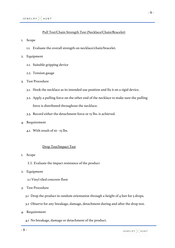#### Pull Test/Chain Strength Test (Necklace/Chain/Bracelet)

1. Scope

- 1.1. Evaluate the overall strength on necklace/chain/bracelet.
- 2. Equipment
	- 2.1. Suitable gripping device
	- 2.2. Tension gauge
- 3. Test Procedure
	- 3.1. Hook the necklace as its intended use position and fix it on a rigid device.
	- 3.2. Apply a pulling force on the other end of the necklace to make sure the pulling force is distributed throughout the necklace.
	- 3.3. Record either the detachment force or 15 lbs. is achieved.
- 4. Requirement
	- 4.1. With result of 10 15 lbs.

## Drop Test/Impact Test

- 1. Scope
	- 1.1. Evaluate the impact resistance of the product
- 2. Equipment
	- 2.1 Vinyl tiled concrete floor
- 3. Test Procedure
	- 3.1 Drop the product in random orientation through a height of 4 feet for 5 drops.
	- 3.2 Observe for any breakage, damage, detachment during and after the drop test.
- 4. Requirement
	- 4.1 No breakage, damage or detachment of the product.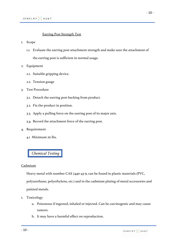#### Earring Post Strength Test

#### 1. Scope

- 1.1. Evaluate the earring post attachment strength and make sure the attachment of the earring post is sufficient in normal usage.
- 2. Equipment
	- 2.1. Suitable gripping device.
	- 2.2. Tension gauge
- 3. Test Procedure
	- 3.1. Detach the earring post backing from product.
	- 3.2. Fix the product in position.
	- 3.3. Apply a pulling force on the earring post of its major axis.
	- 3.4. Record the attachment force of the earring post.
- 4. Requirement
	- 4.1 Minimum 20 lbs.

## *Chemical Testing*

#### **Cadmium**

Heavy metal with number CAS 7440-43-9, can be found in plastic materials (PVC, polyurethane, polyethylene, etc.) and in the cadmium plating of metal accessories and painted metals.

- 1. Toxicology
	- a. Poisonous if ingested, inhaled or injected. Can be carcinogenic and may cause tumors.
	- b. It may have a harmful effect on reproduction.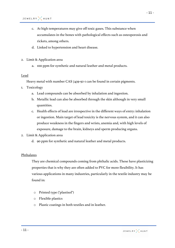- c. At high temperatures may give off toxic gases. This substance when accumulates in the bones with pathological effects such as osteoporosis and rickets, among others.
- d. Linked to hypertension and heart disease.
- 2. Limit & Application area
	- a. 100 ppm for synthetic and natural leather and metal products.

#### Lead

Heavy metal with number CAS 7439-92-1 can be found in certain pigments.

- 1. Toxicology
	- a. Lead compounds can be absorbed by inhalation and ingestion.
	- b. Metallic lead can also be absorbed through the skin although in very small quantities.
	- c. Health effects of lead are irrespective in the different ways of entry: inhalation or ingestion. Main target of lead toxicity is the nervous system, and it can also produce weakness in the fingers and wrists, anemia and, with high levels of exposure, damage to the brain, kidneys and sperm producing organs.
- 2. Limit & Application area
	- d. 90 ppm for synthetic and natural leather and metal products.

#### Phthalates

They are chemical compounds coming from phthalic acids. These have plasticizing properties that is why they are often added to PVC for more flexibility. It has various applications in many industries, particularly in the textile industry may be found in:

- o Printed type ("plastisol")
- o Flexible plastics
- o Plastic coatings in both textiles and in leather.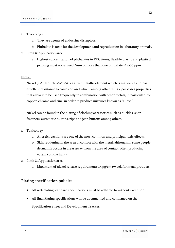#### 1. Toxicology

- a. They are agents of endocrine disruptors.
- b. Phthalate is toxic for the development and reproduction in laboratory animals.
- 2. Limit & Application area
	- a. Highest concentration of phthalates in PVC items, flexible plastic and plastisol printing must not exceed: Sum of more than one phthalate: ≤ 1000 ppm

#### Nickel

Nickel (CAS No. : 7440-02-0) is a silver metallic element which is malleable and has excellent resistance to corrosion and which, among other things, possesses properties that allow it to be used frequently in combination with other metals, in particular iron, copper, chrome and zinc, in order to produce mixtures known as "alloys".

Nickel can be found in the plating of clothing accessories such as buckles, snap fasteners, automatic buttons, zips and jean buttons among others.

- 1. Toxicology
	- a. Allergic reactions are one of the most common and principal toxic effects.
	- b. Skin reddening in the area of contact with the metal, although in some people dermatitis occurs in areas away from the area of contact, often producing eczema on the hands.
- 2. Limit & Application area
	- a. Maximum of nickel release requirement: 0.5 µg/cm2/week for metal products.

#### **Plating specification policies**

- All wet-plating standard specifications must be adhered to without exception.
- All final Plating specifications will be documented and confirmed on the Specification Sheet and Development Tracker.